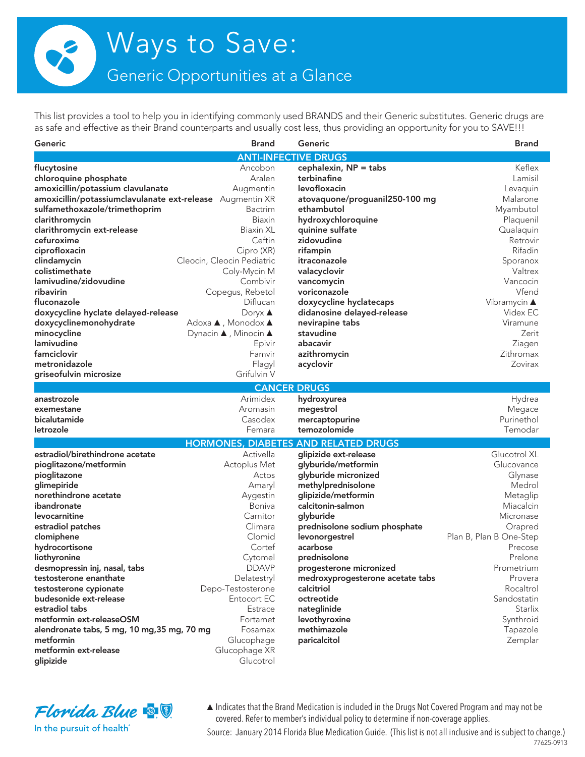Generic Opportunities at a Glance

This list provides a tool to help you in identifying commonly used BRANDS and their Generic substitutes. Generic drugs are as safe and effective as their Brand counterparts and usually cost less, thus providing an opportunity for you to SAVE!!!

| Generic                                                   | <b>Brand</b>               | Generic                                     | <b>Brand</b>                |
|-----------------------------------------------------------|----------------------------|---------------------------------------------|-----------------------------|
|                                                           |                            | <b>ANTI-INFECTIVE DRUGS</b>                 |                             |
| flucytosine                                               | Ancobon                    | cephalexin, $NP =$ tabs                     | Keflex                      |
| chloroquine phosphate                                     | Aralen                     | terbinafine                                 | Lamisil                     |
| amoxicillin/potassium clavulanate                         | Augmentin                  | levofloxacin                                | Levaquin                    |
| amoxicillin/potassiumclavulanate ext-release Augmentin XR |                            | atovaquone/proguanil250-100 mg              | Malarone                    |
| sulfamethoxazole/trimethoprim                             | Bactrim                    | ethambutol                                  | Myambutol                   |
| clarithromycin                                            | Biaxin                     | hydroxychloroquine                          | Plaquenil                   |
| clarithromycin ext-release                                | <b>Biaxin XL</b>           | quinine sulfate                             | Qualaquin                   |
| cefuroxime                                                | Ceftin                     | zidovudine                                  | Retrovir                    |
| ciprofloxacin                                             | Cipro (XR)                 | rifampin                                    | Rifadin                     |
| clindamycin                                               | Cleocin, Cleocin Pediatric | itraconazole                                | Sporanox                    |
| colistimethate                                            | Coly-Mycin M               | valacyclovir                                | Valtrex                     |
| lamivudine/zidovudine                                     | Combivir                   | vancomycin                                  | Vancocin                    |
| ribavirin                                                 | Copegus, Rebetol           | voriconazole                                | Vfend                       |
| fluconazole                                               | Diflucan                   | doxycycline hyclatecaps                     | Vibramycin $\blacktriangle$ |
| doxycycline hyclate delayed-release                       | Doryx $\blacktriangle$     | didanosine delayed-release                  | Videx EC                    |
| doxycyclinemonohydrate                                    | Adoxa ▲, Monodox ▲         | nevirapine tabs                             | Viramune                    |
| minocycline                                               | Dynacin ▲, Minocin ▲       | stavudine                                   | Zerit                       |
| lamivudine                                                | Epivir                     | abacavir                                    | Ziagen                      |
| famciclovir                                               | Famvir                     | azithromycin                                | Zithromax                   |
| metronidazole                                             | Flagyl                     | acyclovir                                   | Zovirax                     |
| griseofulvin microsize                                    | Grifulvin V                |                                             |                             |
|                                                           |                            | <b>CANCER DRUGS</b>                         |                             |
| anastrozole                                               | Arimidex                   | hydroxyurea                                 | Hydrea                      |
| exemestane                                                | Aromasin                   | megestrol                                   | Megace                      |
| bicalutamide                                              | Casodex                    | mercaptopurine                              | Purinethol                  |
| letrozole                                                 | Femara                     | temozolomide                                | Temodar                     |
|                                                           |                            | <b>HORMONES, DIABETES AND RELATED DRUGS</b> |                             |
| estradiol/birethindrone acetate                           | Activella                  | glipizide ext-release                       | Glucotrol XL                |
| pioglitazone/metformin                                    | Actoplus Met               | glyburide/metformin                         | Glucovance                  |
| pioglitazone                                              | Actos                      | glyburide micronized                        | Glynase                     |
| glimepiride                                               | Amaryl                     | methylprednisolone                          | Medrol                      |
| norethindrone acetate                                     | Aygestin                   | glipizide/metformin                         | Metaglip                    |
| ibandronate                                               | Boniva                     | calcitonin-salmon                           | Miacalcin                   |
| levocarnitine                                             | Carnitor                   | glyburide                                   | Micronase                   |
| estradiol patches                                         | Climara                    | prednisolone sodium phosphate               | Orapred                     |
| clomiphene                                                | Clomid                     | levonorgestrel                              | Plan B, Plan B One-Step     |
| hydrocortisone                                            | Cortef                     | acarbose                                    | Precose                     |
| liothyronine                                              | Cytomel                    | prednisolone                                | Prelone                     |
| desmopressin inj, nasal, tabs                             | <b>DDAVP</b>               | progesterone micronized                     | Prometrium                  |
| testosterone enanthate                                    | Delatestryl                | medroxyprogesterone acetate tabs            | Provera                     |
| testosterone cypionate                                    | Depo-Testosterone          | calcitriol                                  | Rocaltrol                   |
| budesonide ext-release                                    | Entocort EC                | octreotide                                  | Sandostatin                 |
| estradiol tabs                                            | Estrace                    | nateglinide                                 | Starlix                     |
| metformin ext-releaseOSM                                  | Fortamet                   | levothyroxine                               | Synthroid                   |
| alendronate tabs, 5 mg, 10 mg, 35 mg, 70 mg               | Fosamax                    | methimazole                                 | Tapazole                    |
| metformin                                                 | Glucophage                 | paricalcitol                                | Zemplar                     |
| metformin ext-release                                     | Glucophage XR              |                                             |                             |
| glipizide                                                 | Glucotrol                  |                                             |                             |



▲Indicates that the Brand Medication is included in the Drugs Not Covered Program and may not be covered. Refer to member's individual policy to determine if non-coverage applies.

Source: January 2014 Florida Blue Medication Guide. (This list is not all inclusive and is subject to change.)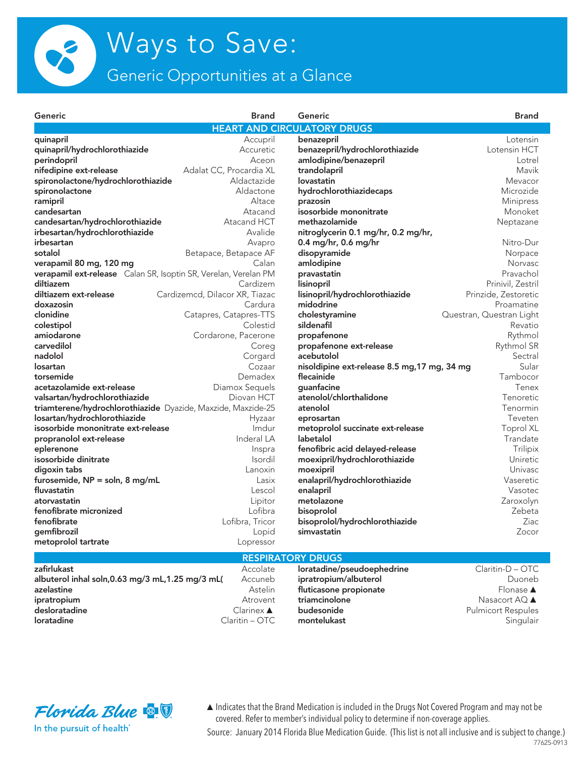

Generic Opportunities at a Glance

| Generic                                                         | <b>Brand</b>                   | Generic                                      | <b>Brand</b>             |
|-----------------------------------------------------------------|--------------------------------|----------------------------------------------|--------------------------|
|                                                                 |                                | <b>HEART AND CIRCULATORY DRUGS</b>           |                          |
| quinapril                                                       | Accupril                       | benazepril                                   | Lotensin                 |
| quinapril/hydrochlorothiazide                                   | Accuretic                      | benazepril/hydrochlorothiazide               | Lotensin HCT             |
| perindopril                                                     | Aceon                          | amlodipine/benazepril                        | Lotrel                   |
| nifedipine ext-release                                          | Adalat CC, Procardia XL        | trandolapril                                 | Mavik                    |
| spironolactone/hydrochlorothiazide                              | Aldactazide                    | lovastatin                                   | Mevacor                  |
| spironolactone                                                  | Aldactone                      | hydrochlorothiazidecaps                      | Microzide                |
| ramipril                                                        | Altace                         | prazosin                                     | <b>Minipress</b>         |
| candesartan                                                     | Atacand                        | isosorbide mononitrate                       | Monoket                  |
| candesartan/hydrochlorothiazide                                 | Atacand HCT                    | methazolamide                                | Neptazane                |
| irbesartan/hydrochlorothiazide                                  | Avalide                        | nitroglycerin 0.1 mg/hr, 0.2 mg/hr,          |                          |
| irbesartan                                                      | Avapro                         | 0.4 mg/hr, 0.6 mg/hr                         | Nitro-Dur                |
| sotalol                                                         | Betapace, Betapace AF          | disopyramide                                 | Norpace                  |
| verapamil 80 mg, 120 mg                                         | Calan                          | amlodipine                                   | <b>Norvasc</b>           |
| verapamil ext-release Calan SR, Isoptin SR, Verelan, Verelan PM |                                | pravastatin                                  | Pravachol                |
| diltiazem                                                       | Cardizem                       | lisinopril                                   | Prinivil, Zestril        |
| diltiazem ext-release                                           | Cardizemcd, Dilacor XR, Tiazac | lisinopril/hydrochlorothiazide               | Prinzide, Zestoretic     |
| doxazosin                                                       | Cardura                        | midodrine                                    | Proamatine               |
| clonidine                                                       | Catapres, Catapres-TTS         | cholestyramine                               | Questran, Questran Light |
| colestipol                                                      | Colestid                       | sildenafil                                   | Revatio                  |
| amiodarone                                                      | Cordarone, Pacerone            | propafenone                                  | Rythmol                  |
| carvedilol                                                      | Coreg                          | propafenone ext-release                      | Rythmol SR               |
| nadolol                                                         | Corgard                        | acebutolol                                   | Sectral                  |
| losartan                                                        | Cozaar                         | nisoldipine ext-release 8.5 mg, 17 mg, 34 mg | Sular                    |
| torsemide                                                       | Demadex                        | flecainide                                   | Tambocor                 |
| acetazolamide ext-release                                       | Diamox Sequels                 | quanfacine                                   | Tenex                    |
| valsartan/hydrochlorothiazide                                   | Diovan HCT                     | atenolol/chlorthalidone                      | Tenoretic                |
| triamterene/hydrochlorothiazide Dyazide, Maxzide, Maxzide-25    |                                | atenolol                                     | Tenormin                 |
| losartan/hydrochlorothiazide                                    | Hyzaar                         | eprosartan                                   | Teveten                  |
| isosorbide mononitrate ext-release                              | Imdur                          | metoprolol succinate ext-release             | <b>Toprol XL</b>         |
| propranolol ext-release                                         | Inderal LA                     | labetalol                                    | Trandate                 |
| eplerenone                                                      | Inspra                         | fenofibric acid delayed-release              | Trilipix                 |
| isosorbide dinitrate                                            | Isordil                        | moexipril/hydrochlorothiazide                | <b>Uniretic</b>          |
| digoxin tabs                                                    | Lanoxin                        | moexipril                                    | <b>Univasc</b>           |
| furosemide, NP = soln, 8 mg/mL                                  | Lasix                          | enalapril/hydrochlorothiazide                | Vaseretic                |
| fluvastatin                                                     | Lescol                         | enalapril                                    | Vasotec                  |
| atorvastatin                                                    | Lipitor                        | metolazone                                   | Zaroxolyn                |
| fenofibrate micronized                                          | Lofibra                        | bisoprolol                                   | Zebeta                   |
| fenofibrate                                                     | Lofibra, Tricor                | bisoprolol/hydrochlorothiazide               | Ziac                     |
| gemfibrozil                                                     | Lopid                          | simvastatin                                  | Zocor                    |
| metoprolol tartrate                                             | Lopressor                      |                                              |                          |
|                                                                 |                                |                                              |                          |
|                                                                 |                                | <b>RESPIRATORY DRUGS</b>                     |                          |
| zafirlukast                                                     | Accolate                       | loratadine/pseudoephedrine                   | $Claritin-D-OTC$         |
| albuterol inhal soln, 0.63 mg/3 mL, 1.25 mg/3 mL(               | Accuneb                        | ipratropium/albuterol                        | Duoneb                   |
| azelastine                                                      | Astelin                        | fluticasone propionate                       | Flonase ▲                |



In the pursuit of health<sup>®</sup>

ipratropium

loratadine

desloratadine

▲ Indicates that the Brand Medication is included in the Drugs Not Covered Program and may not be covered. Refer to member's individual policy to determine if non-coverage applies.

triamcinolone

budesonide

montelukast

Atrovent

 $Clarinex \triangle$ 

Claritin - OTC

Source: January 2014 Florida Blue Medication Guide. (This list is not all inclusive and is subject to change.) 77625-0913

Nasacort AQ ▲

Singulair

**Pulmicort Respules**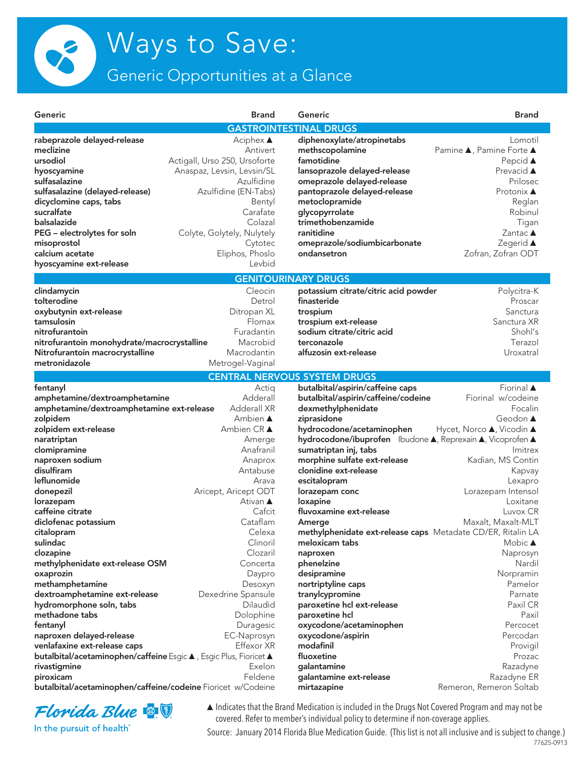

Generic Opportunities at a Glance

| Generic                                                                                                                                                                                                                                                                                                                                                                     | <b>Brand</b>                                                                                                                                                                                                                         | Generic                                                                                                                                                                                                                                                                                                                                                                                                                                                                                 | <b>Brand</b>                                                                                                                                                                                                                                                 |
|-----------------------------------------------------------------------------------------------------------------------------------------------------------------------------------------------------------------------------------------------------------------------------------------------------------------------------------------------------------------------------|--------------------------------------------------------------------------------------------------------------------------------------------------------------------------------------------------------------------------------------|-----------------------------------------------------------------------------------------------------------------------------------------------------------------------------------------------------------------------------------------------------------------------------------------------------------------------------------------------------------------------------------------------------------------------------------------------------------------------------------------|--------------------------------------------------------------------------------------------------------------------------------------------------------------------------------------------------------------------------------------------------------------|
|                                                                                                                                                                                                                                                                                                                                                                             |                                                                                                                                                                                                                                      | <b>GASTROINTESTINAL DRUGS</b>                                                                                                                                                                                                                                                                                                                                                                                                                                                           |                                                                                                                                                                                                                                                              |
| rabeprazole delayed-release<br>meclizine<br>ursodiol<br>hyoscyamine<br>sulfasalazine<br>sulfasalazine (delayed-release)<br>dicyclomine caps, tabs<br>sucralfate<br>balsalazide<br>PEG - electrolytes for soln<br>misoprostol<br>calcium acetate<br>hyoscyamine ext-release                                                                                                  | Aciphex ▲<br>Antivert<br>Actigall, Urso 250, Ursoforte<br>Anaspaz, Levsin, Levsin/SL<br>Azulfidine<br>Azulfidine (EN-Tabs)<br>Bentyl<br>Carafate<br>Colazal<br>Colyte, Golytely, Nulytely<br>Cytotec<br>Eliphos, Phoslo<br>Levbid    | diphenoxylate/atropinetabs<br>methscopolamine<br>famotidine<br>lansoprazole delayed-release<br>omeprazole delayed-release<br>pantoprazole delayed-release<br>metoclopramide<br>glycopyrrolate<br>trimethobenzamide<br>ranitidine<br>omeprazole/sodiumbicarbonate<br>ondansetron                                                                                                                                                                                                         | Lomotil<br>Pamine ▲, Pamine Forte ▲<br>Pepcid $\triangle$<br>Prevacid ▲<br>Prilosec<br>Protonix <b>▲</b><br>Reglan<br>Robinul<br>Tigan<br>Zantac $\triangle$<br>Zegerid ▲<br>Zofran, Zofran ODT                                                              |
|                                                                                                                                                                                                                                                                                                                                                                             |                                                                                                                                                                                                                                      | <b>GENITOURINARY DRUGS</b>                                                                                                                                                                                                                                                                                                                                                                                                                                                              |                                                                                                                                                                                                                                                              |
| clindamycin<br>tolterodine<br>oxybutynin ext-release<br>tamsulosin<br>nitrofurantoin<br>nitrofurantoin monohydrate/macrocrystalline<br>Nitrofurantoin macrocrystalline<br>metronidazole                                                                                                                                                                                     | Cleocin<br>Detrol<br>Ditropan XL<br>Flomax<br>Furadantin<br>Macrobid<br>Macrodantin<br>Metrogel-Vaginal                                                                                                                              | potassium citrate/citric acid powder<br>finasteride<br>trospium<br>trospium ext-release<br>sodium citrate/citric acid<br>terconazole<br>alfuzosin ext-release                                                                                                                                                                                                                                                                                                                           | Polycitra-K<br>Proscar<br>Sanctura<br>Sanctura XR<br>Shohl's<br>Terazol<br>Uroxatral                                                                                                                                                                         |
|                                                                                                                                                                                                                                                                                                                                                                             |                                                                                                                                                                                                                                      | <b>CENTRAL NERVOUS SYSTEM DRUGS</b>                                                                                                                                                                                                                                                                                                                                                                                                                                                     |                                                                                                                                                                                                                                                              |
| fentanyl<br>amphetamine/dextroamphetamine<br>amphetamine/dextroamphetamine ext-release<br>zolpidem<br>zolpidem ext-release<br>naratriptan<br>clomipramine<br>naproxen sodium<br>disulfiram<br>leflunomide<br>donepezil<br>lorazepam<br>caffeine citrate<br>diclofenac potassium<br>citalopram<br>sulindac<br>clozapine<br>methylphenidate ext-release OSM                   | Actiq<br>Adderall<br>Adderall XR<br>Ambien $\triangle$<br>Ambien CR ▲<br>Amerge<br>Anafranil<br>Anaprox<br>Antabuse<br>Arava<br>Aricept, Aricept ODT<br>Ativan ▲<br>Cafcit<br>Cataflam<br>Celexa<br>Clinoril<br>Clozaril<br>Concerta | butalbital/aspirin/caffeine caps<br>butalbital/aspirin/caffeine/codeine<br>dexmethylphenidate<br>ziprasidone<br>hydrocodone/acetaminophen<br>hydrocodone/ibuprofen Ibudone A, Reprexain A, Vicoprofen A<br>sumatriptan inj, tabs<br>morphine sulfate ext-release<br>clonidine ext-release<br>escitalopram<br>lorazepam conc<br>loxapine<br>fluvoxamine ext-release<br>Amerge<br>methylphenidate ext-release caps Metadate CD/ER, Ritalin LA<br>meloxicam tabs<br>naproxen<br>phenelzine | Fiorinal A<br>Fiorinal w/codeine<br>Focalin<br>Geodon ▲<br>Hycet, Norco ▲, Vicodin ▲<br><i>Imitrex</i><br>Kadian, MS Contin<br>Kapvay<br>Lexapro<br>Lorazepam Intensol<br>Loxitane<br>Luvox CR<br>Maxalt, Maxalt-MLT<br>Mobic <b>▲</b><br>Naprosyn<br>Nardil |
| oxaprozin<br>methamphetamine<br>dextroamphetamine ext-release<br>hydromorphone soln, tabs<br>methadone tabs<br>fentanyl<br>naproxen delayed-release<br>venlafaxine ext-release caps<br><b>butalbital/acetaminophen/caffeine</b> Esgic <b>A</b> , Esgic Plus, Fioricet <b>A</b><br>rivastigmine<br>piroxicam<br>butalbital/acetaminophen/caffeine/codeine Fioricet w/Codeine | Daypro<br>Desoxyn<br>Dexedrine Spansule<br>Dilaudid<br>Dolophine<br>Duragesic<br>EC-Naprosyn<br>Effexor XR<br>Exelon<br>Feldene                                                                                                      | desipramine<br>nortriptyline caps<br>tranylcypromine<br>paroxetine hcl ext-release<br>paroxetine hcl<br>oxycodone/acetaminophen<br>oxycodone/aspirin<br>modafinil<br>fluoxetine<br>galantamine<br>galantamine ext-release<br>mirtazapine                                                                                                                                                                                                                                                | Norpramin<br>Pamelor<br>Parnate<br>Paxil CR<br>Paxil<br>Percocet<br>Percodan<br>Provigil<br>Prozac<br>Razadyne<br>Razadyne ER<br>Remeron, Remeron Soltab                                                                                                     |



In the pursuit of health<sup>®</sup>

▲Indicates that the Brand Medication is included in the Drugs Not Covered Program and may not be covered. Refer to member's individual policy to determine if non-coverage applies.

77625-0913 Source: January 2014 Florida Blue Medication Guide. (This list is not all inclusive and is subject to change.)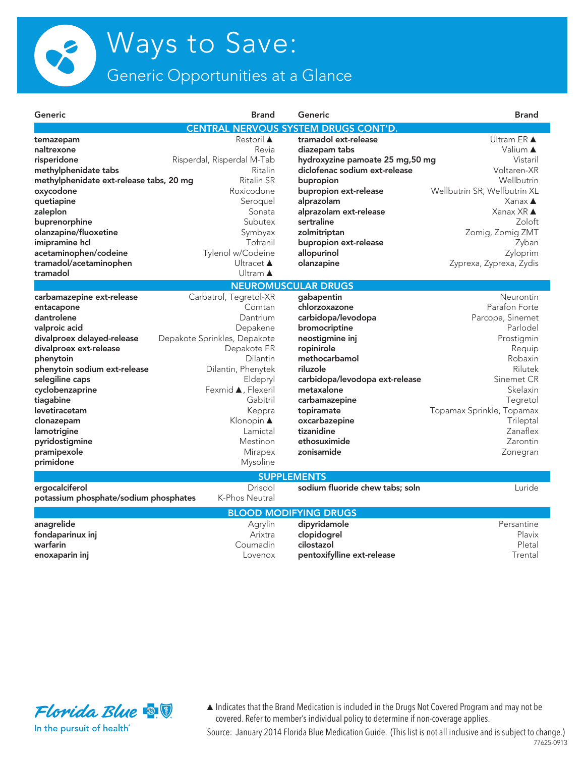

Generic Opportunities at a Glance

| Generic                                 | <b>Brand</b>                 | Generic                                     | <b>Brand</b>                 |
|-----------------------------------------|------------------------------|---------------------------------------------|------------------------------|
|                                         |                              | <b>CENTRAL NERVOUS SYSTEM DRUGS CONT'D.</b> |                              |
| temazepam                               | <b>Restoril ▲</b>            | tramadol ext-release                        | <b>Ultram ER ▲</b>           |
| naltrexone                              | Revia                        | diazepam tabs                               | Valium ▲                     |
| risperidone                             | Risperdal, Risperdal M-Tab   | hydroxyzine pamoate 25 mg,50 mg             | Vistaril                     |
| methylphenidate tabs                    | Ritalin                      | diclofenac sodium ext-release               | Voltaren-XR                  |
| methylphenidate ext-release tabs, 20 mg | <b>Ritalin SR</b>            | bupropion                                   | Wellbutrin                   |
| oxycodone                               | Roxicodone                   | bupropion ext-release                       | Wellbutrin SR, Wellbutrin XL |
| quetiapine                              | Seroquel                     | alprazolam                                  | $Xanax \triangle$            |
| zaleplon                                | Sonata                       | alprazolam ext-release                      | Xanax XR ▲                   |
| buprenorphine                           | Subutex                      | sertraline                                  | Zoloft                       |
| olanzapine/fluoxetine                   | Symbyax                      | zolmitriptan                                | Zomig, Zomig ZMT             |
| imipramine hcl                          | Tofranil                     | bupropion ext-release                       | Zyban                        |
| acetaminophen/codeine                   | Tylenol w/Codeine            | allopurinol                                 | Zyloprim                     |
| tramadol/acetaminophen                  | Ultracet ▲                   | olanzapine                                  | Zyprexa, Zyprexa, Zydis      |
| tramadol                                | Ultram $\triangle$           |                                             |                              |
|                                         |                              | <b>NEUROMUSCULAR DRUGS</b>                  |                              |
| carbamazepine ext-release               | Carbatrol, Tegretol-XR       | gabapentin                                  | Neurontin                    |
| entacapone                              | Comtan                       | chlorzoxazone                               | Parafon Forte                |
| dantrolene                              | Dantrium                     | carbidopa/levodopa                          | Parcopa, Sinemet             |
| valproic acid                           | Depakene                     | bromocriptine                               | Parlodel                     |
| divalproex delayed-release              | Depakote Sprinkles, Depakote | neostigmine inj                             | Prostigmin                   |
| divalproex ext-release                  | Depakote ER                  | ropinirole                                  | Requip                       |
| phenytoin                               | Dilantin                     | methocarbamol                               | Robaxin                      |
| phenytoin sodium ext-release            | Dilantin, Phenytek           | riluzole                                    | Rilutek                      |
| selegiline caps                         | Eldepryl                     | carbidopa/levodopa ext-release              | Sinemet CR                   |
| cyclobenzaprine                         | Fexmid ▲, Flexeril           | metaxalone                                  | Skelaxin                     |
| tiagabine                               | Gabitril                     | carbamazepine                               | Tegretol                     |
| levetiracetam                           | Keppra                       | topiramate                                  | Topamax Sprinkle, Topamax    |
| clonazepam                              | Klonopin ▲                   | oxcarbazepine                               | Trileptal                    |
| lamotrigine                             | Lamictal                     | tizanidine                                  | Zanaflex                     |
| pyridostigmine                          | Mestinon                     | ethosuximide                                | Zarontin                     |
| pramipexole                             | Mirapex                      | zonisamide                                  | Zonegran                     |
| primidone                               | Mysoline                     |                                             |                              |
|                                         |                              |                                             |                              |
|                                         | Drisdol                      | <b>SUPPLEMENTS</b>                          |                              |
| ergocalciferol                          | K-Phos Neutral               | sodium fluoride chew tabs; soln             | Luride                       |
| potassium phosphate/sodium phosphates   |                              |                                             |                              |
|                                         |                              | <b>BLOOD MODIFYING DRUGS</b>                |                              |
| anagrelide                              | Agrylin                      | dipyridamole                                | Persantine                   |
| fondaparinux inj                        | Arixtra                      | clopidogrel                                 | Plavix                       |
| warfarin                                | Coumadin                     | cilostazol                                  | Pletal                       |
| enoxaparin inj                          | Lovenox                      | pentoxifylline ext-release                  | Trental                      |
|                                         |                              |                                             |                              |



In the pursuit of health<sup>®</sup>

▲Indicates that the Brand Medication is included in the Drugs Not Covered Program and may not be covered. Refer to member's individual policy to determine if non-coverage applies.

77625-0913 Source: January 2014 Florida Blue Medication Guide. (This list is not all inclusive and is subject to change.)